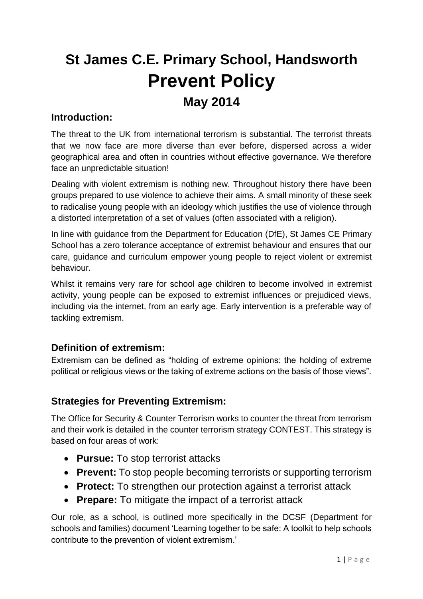# **St James C.E. Primary School, Handsworth Prevent Policy May 2014**

# **Introduction:**

The threat to the UK from international terrorism is substantial. The terrorist threats that we now face are more diverse than ever before, dispersed across a wider geographical area and often in countries without effective governance. We therefore face an unpredictable situation!

Dealing with violent extremism is nothing new. Throughout history there have been groups prepared to use violence to achieve their aims. A small minority of these seek to radicalise young people with an ideology which justifies the use of violence through a distorted interpretation of a set of values (often associated with a religion).

In line with guidance from the Department for Education (DfE), St James CE Primary School has a zero tolerance acceptance of extremist behaviour and ensures that our care, guidance and curriculum empower young people to reject violent or extremist behaviour.

Whilst it remains very rare for school age children to become involved in extremist activity, young people can be exposed to extremist influences or prejudiced views, including via the internet, from an early age. Early intervention is a preferable way of tackling extremism.

# **Definition of extremism:**

Extremism can be defined as "holding of extreme opinions: the holding of extreme political or religious views or the taking of extreme actions on the basis of those views".

# **Strategies for Preventing Extremism:**

The Office for Security & Counter Terrorism works to counter the threat from terrorism and their work is detailed in the counter terrorism strategy CONTEST. This strategy is based on four areas of work:

- **Pursue:** To stop terrorist attacks
- **Prevent:** To stop people becoming terrorists or supporting terrorism
- **Protect:** To strengthen our protection against a terrorist attack
- **Prepare:** To mitigate the impact of a terrorist attack

Our role, as a school, is outlined more specifically in the DCSF (Department for schools and families) document 'Learning together to be safe: A toolkit to help schools contribute to the prevention of violent extremism.'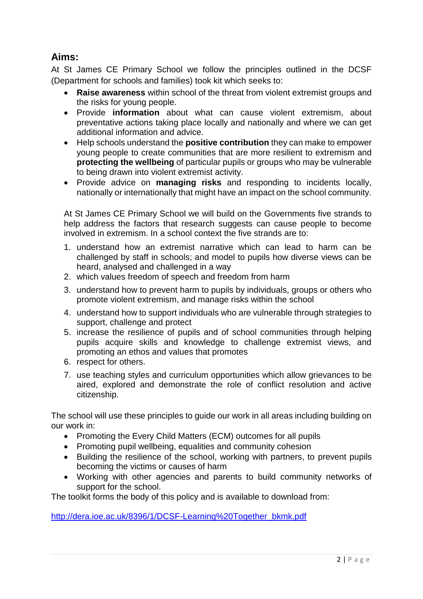# **Aims:**

At St James CE Primary School we follow the principles outlined in the DCSF (Department for schools and families) took kit which seeks to:

- **Raise awareness** within school of the threat from violent extremist groups and the risks for young people.
- Provide **information** about what can cause violent extremism, about preventative actions taking place locally and nationally and where we can get additional information and advice.
- Help schools understand the **positive contribution** they can make to empower young people to create communities that are more resilient to extremism and **protecting the wellbeing** of particular pupils or groups who may be vulnerable to being drawn into violent extremist activity.
- Provide advice on **managing risks** and responding to incidents locally, nationally or internationally that might have an impact on the school community.

At St James CE Primary School we will build on the Governments five strands to help address the factors that research suggests can cause people to become involved in extremism. In a school context the five strands are to:

- 1. understand how an extremist narrative which can lead to harm can be challenged by staff in schools; and model to pupils how diverse views can be heard, analysed and challenged in a way
- 2. which values freedom of speech and freedom from harm
- 3. understand how to prevent harm to pupils by individuals, groups or others who promote violent extremism, and manage risks within the school
- 4. understand how to support individuals who are vulnerable through strategies to support, challenge and protect
- 5. increase the resilience of pupils and of school communities through helping pupils acquire skills and knowledge to challenge extremist views, and promoting an ethos and values that promotes
- 6. respect for others.
- 7. use teaching styles and curriculum opportunities which allow grievances to be aired, explored and demonstrate the role of conflict resolution and active citizenship.

The school will use these principles to guide our work in all areas including building on our work in:

- Promoting the Every Child Matters (ECM) outcomes for all pupils
- Promoting pupil wellbeing, equalities and community cohesion
- Building the resilience of the school, working with partners, to prevent pupils becoming the victims or causes of harm
- Working with other agencies and parents to build community networks of support for the school.

The toolkit forms the body of this policy and is available to download from:

[http://dera.ioe.ac.uk/8396/1/DCSF-Learning%20Together\\_bkmk.pdf](http://dera.ioe.ac.uk/8396/1/DCSF-Learning%20Together_bkmk.pdf)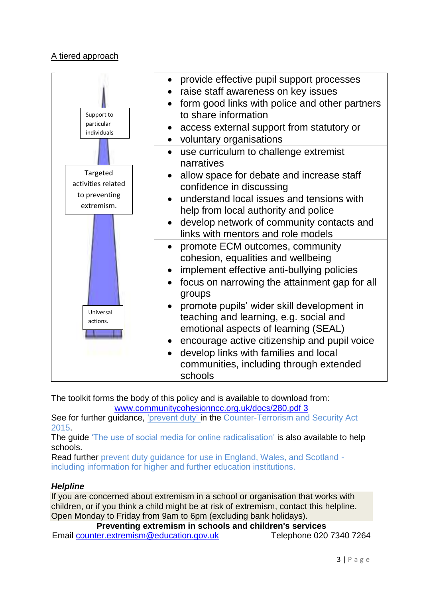## A tiered approach



The toolkit forms the body of this policy and is available to download from: [www.communitycohesionncc.org.uk/docs/280.pdf 3](http://www.communitycohesionncc.org.uk/docs/280.pdf%203)

See for further guidance, 'prevent duty' in the Counter-Terrorism and Security Act 2015.

The guide 'The use of social media for online radicalisation' is also available to help schools.

Read further prevent duty guidance for use in England, Wales, and Scotland including information for higher and further education institutions.

#### *Helpline*

If you are concerned about extremism in a school or organisation that works with children, or if you think a child might be at risk of extremism, contact this helpline. Open Monday to Friday from 9am to 6pm (excluding bank holidays).

**Preventing extremism in schools and children's services** Email [counter.extremism@education.gov.uk](mailto:counter.extremism@education.gov.uk) Telephone 020 7340 7264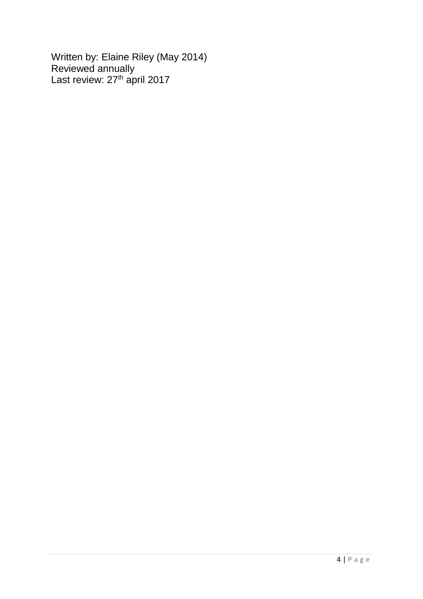Written by: Elaine Riley (May 2014) Reviewed annually Last review: 27<sup>th</sup> april 2017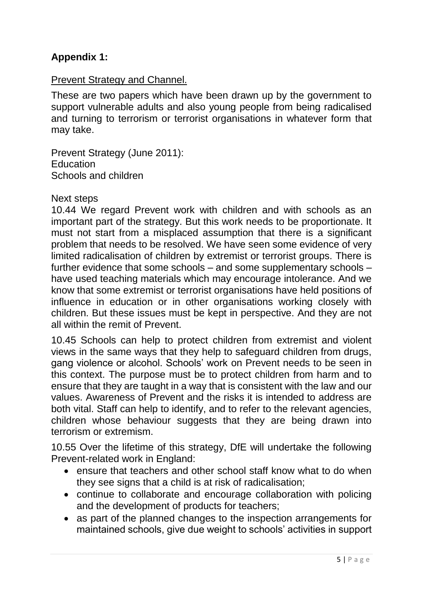# **Appendix 1:**

## Prevent Strategy and Channel.

These are two papers which have been drawn up by the government to support vulnerable adults and also young people from being radicalised and turning to terrorism or terrorist organisations in whatever form that may take.

Prevent Strategy (June 2011): **Education** Schools and children

#### Next steps

10.44 We regard Prevent work with children and with schools as an important part of the strategy. But this work needs to be proportionate. It must not start from a misplaced assumption that there is a significant problem that needs to be resolved. We have seen some evidence of very limited radicalisation of children by extremist or terrorist groups. There is further evidence that some schools – and some supplementary schools – have used teaching materials which may encourage intolerance. And we know that some extremist or terrorist organisations have held positions of influence in education or in other organisations working closely with children. But these issues must be kept in perspective. And they are not all within the remit of Prevent.

10.45 Schools can help to protect children from extremist and violent views in the same ways that they help to safeguard children from drugs, gang violence or alcohol. Schools' work on Prevent needs to be seen in this context. The purpose must be to protect children from harm and to ensure that they are taught in a way that is consistent with the law and our values. Awareness of Prevent and the risks it is intended to address are both vital. Staff can help to identify, and to refer to the relevant agencies, children whose behaviour suggests that they are being drawn into terrorism or extremism.

10.55 Over the lifetime of this strategy, DfE will undertake the following Prevent-related work in England:

- ensure that teachers and other school staff know what to do when they see signs that a child is at risk of radicalisation;
- continue to collaborate and encourage collaboration with policing and the development of products for teachers;
- as part of the planned changes to the inspection arrangements for maintained schools, give due weight to schools' activities in support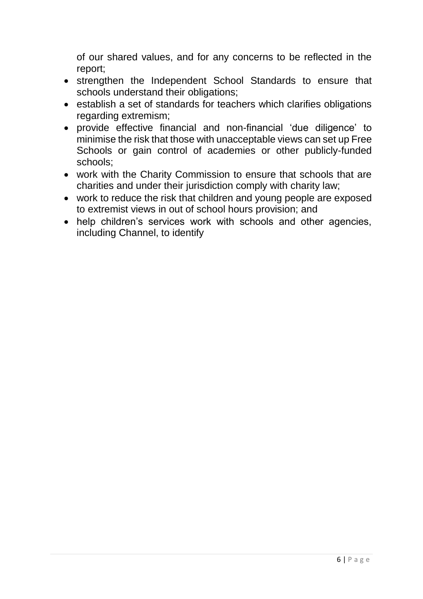of our shared values, and for any concerns to be reflected in the report;

- strengthen the Independent School Standards to ensure that schools understand their obligations;
- establish a set of standards for teachers which clarifies obligations regarding extremism;
- provide effective financial and non-financial 'due diligence' to minimise the risk that those with unacceptable views can set up Free Schools or gain control of academies or other publicly-funded schools;
- work with the Charity Commission to ensure that schools that are charities and under their jurisdiction comply with charity law;
- work to reduce the risk that children and young people are exposed to extremist views in out of school hours provision; and
- help children's services work with schools and other agencies, including Channel, to identify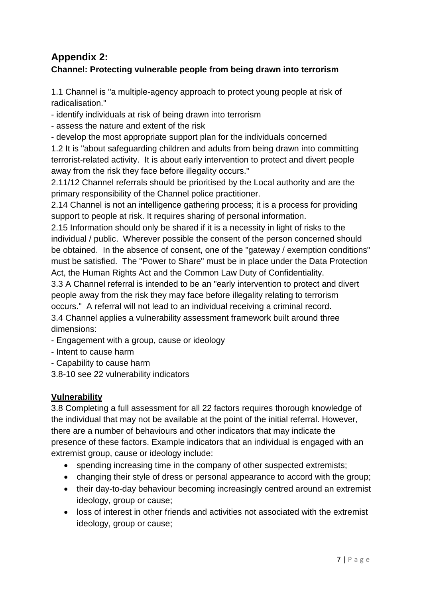# **Appendix 2:**

# **Channel: Protecting vulnerable people from being drawn into terrorism**

1.1 Channel is "a multiple-agency approach to protect young people at risk of radicalisation."

- identify individuals at risk of being drawn into terrorism

- assess the nature and extent of the risk

- develop the most appropriate support plan for the individuals concerned 1.2 It is "about safeguarding children and adults from being drawn into committing terrorist-related activity. It is about early intervention to protect and divert people away from the risk they face before illegality occurs."

2.11/12 Channel referrals should be prioritised by the Local authority and are the primary responsibility of the Channel police practitioner.

2.14 Channel is not an intelligence gathering process; it is a process for providing support to people at risk. It requires sharing of personal information.

2.15 Information should only be shared if it is a necessity in light of risks to the individual / public. Wherever possible the consent of the person concerned should be obtained. In the absence of consent, one of the "gateway / exemption conditions" must be satisfied. The "Power to Share" must be in place under the Data Protection Act, the Human Rights Act and the Common Law Duty of Confidentiality.

3.3 A Channel referral is intended to be an "early intervention to protect and divert people away from the risk they may face before illegality relating to terrorism occurs." A referral will not lead to an individual receiving a criminal record.

3.4 Channel applies a vulnerability assessment framework built around three dimensions:

- Engagement with a group, cause or ideology

- Intent to cause harm

- Capability to cause harm

3.8-10 see 22 vulnerability indicators

## **Vulnerability**

3.8 Completing a full assessment for all 22 factors requires thorough knowledge of the individual that may not be available at the point of the initial referral. However, there are a number of behaviours and other indicators that may indicate the presence of these factors. Example indicators that an individual is engaged with an extremist group, cause or ideology include:

- spending increasing time in the company of other suspected extremists;
- changing their style of dress or personal appearance to accord with the group;
- their day-to-day behaviour becoming increasingly centred around an extremist ideology, group or cause;
- loss of interest in other friends and activities not associated with the extremist ideology, group or cause;